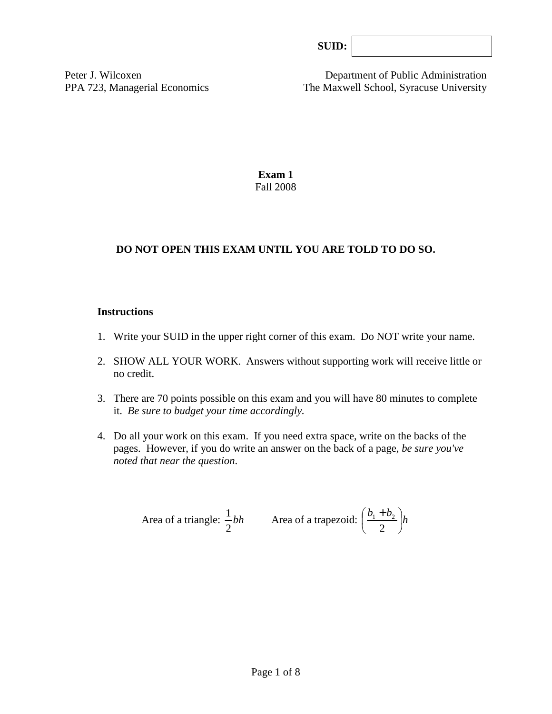| SUB: |  |
|------|--|
|------|--|

Peter J. Wilcoxen Department of Public Administration PPA 723, Managerial Economics The Maxwell School, Syracuse University

> **Exam 1**  Fall 2008

# **DO NOT OPEN THIS EXAM UNTIL YOU ARE TOLD TO DO SO.**

#### **Instructions**

- 1. Write your SUID in the upper right corner of this exam. Do NOT write your name.
- 2. SHOW ALL YOUR WORK. Answers without supporting work will receive little or no credit.
- 3. There are 70 points possible on this exam and you will have 80 minutes to complete it. *Be sure to budget your time accordingly.*
- 4. Do all your work on this exam. If you need extra space, write on the backs of the pages. However, if you do write an answer on the back of a page, *be sure you've noted that near the question*.

Area of a triangle: 
$$
\frac{1}{2}bh
$$
 Area of a trapezoid:  $\left(\frac{b_1 + b_2}{2}\right)h$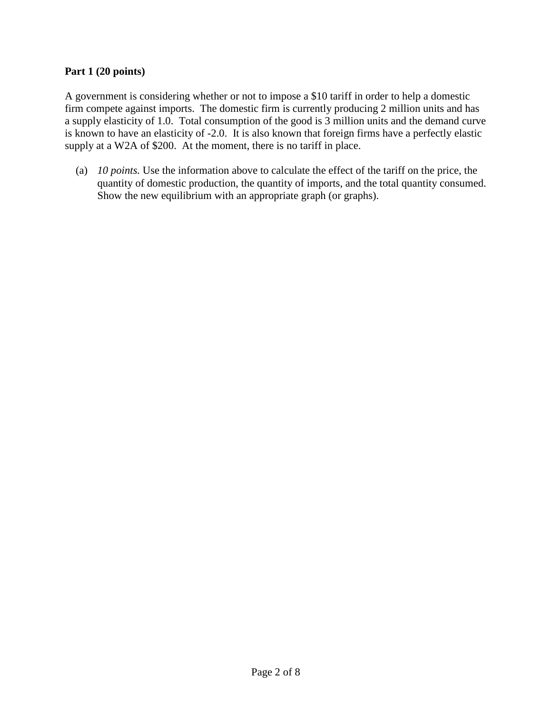### **Part 1 (20 points)**

A government is considering whether or not to impose a \$10 tariff in order to help a domestic firm compete against imports. The domestic firm is currently producing 2 million units and has a supply elasticity of 1.0. Total consumption of the good is 3 million units and the demand curve is known to have an elasticity of -2.0. It is also known that foreign firms have a perfectly elastic supply at a W2A of \$200. At the moment, there is no tariff in place.

(a) *10 points.* Use the information above to calculate the effect of the tariff on the price, the quantity of domestic production, the quantity of imports, and the total quantity consumed. Show the new equilibrium with an appropriate graph (or graphs).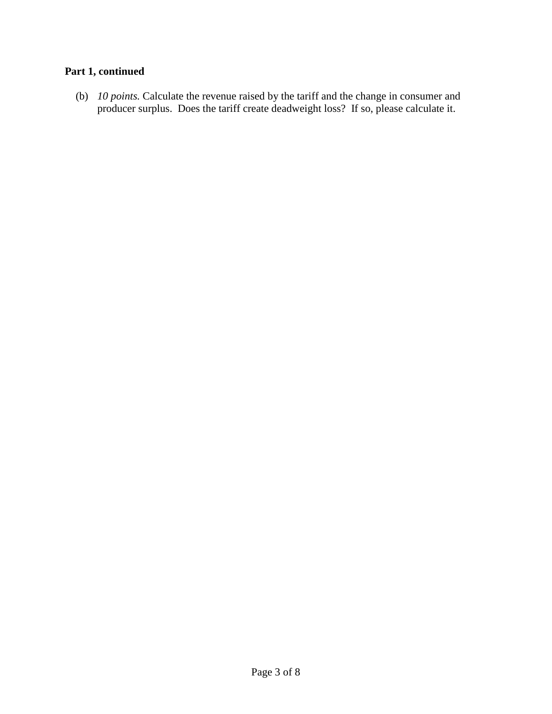# **Part 1, continued**

(b) *10 points.* Calculate the revenue raised by the tariff and the change in consumer and producer surplus. Does the tariff create deadweight loss? If so, please calculate it.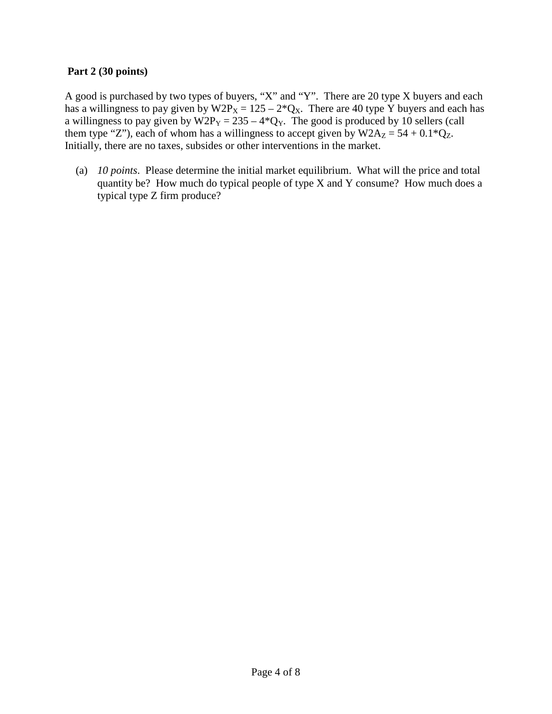### **Part 2 (30 points)**

A good is purchased by two types of buyers, "X" and "Y". There are 20 type X buyers and each has a willingness to pay given by  $W2P_X = 125 - 2^*Q_X$ . There are 40 type Y buyers and each has a willingness to pay given by  $W2P_y = 235 - 4*Q_y$ . The good is produced by 10 sellers (call them type "Z"), each of whom has a willingness to accept given by  $W2A_Z = 54 + 0.1*Q_Z$ . Initially, there are no taxes, subsides or other interventions in the market.

 (a) *10 points*. Please determine the initial market equilibrium. What will the price and total quantity be? How much do typical people of type X and Y consume? How much does a typical type Z firm produce?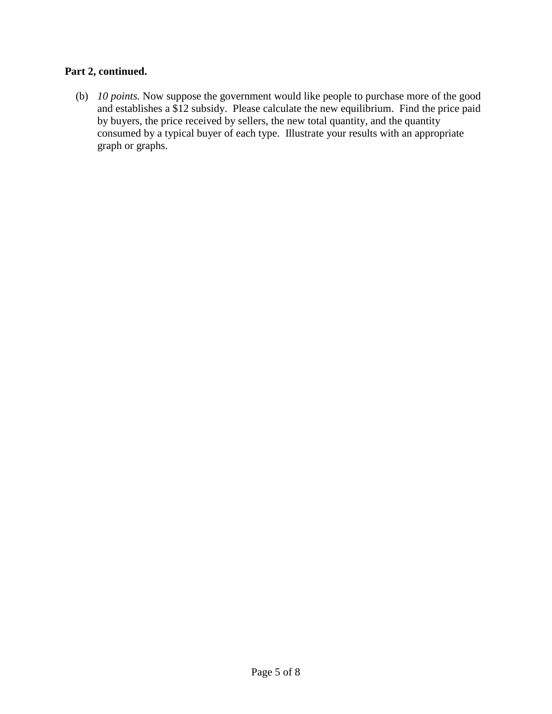# **Part 2, continued.**

 (b) *10 points.* Now suppose the government would like people to purchase more of the good and establishes a \$12 subsidy. Please calculate the new equilibrium. Find the price paid by buyers, the price received by sellers, the new total quantity, and the quantity consumed by a typical buyer of each type. Illustrate your results with an appropriate graph or graphs.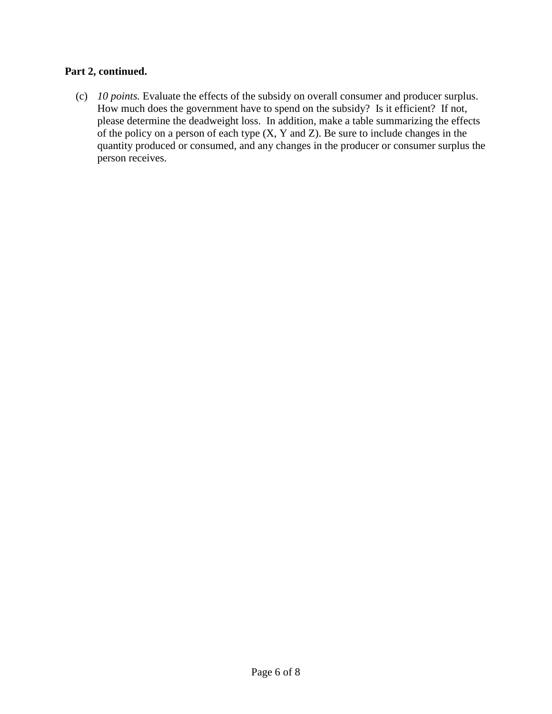# **Part 2, continued.**

 (c) *10 points.* Evaluate the effects of the subsidy on overall consumer and producer surplus. How much does the government have to spend on the subsidy? Is it efficient? If not, please determine the deadweight loss. In addition, make a table summarizing the effects of the policy on a person of each type (X, Y and Z). Be sure to include changes in the quantity produced or consumed, and any changes in the producer or consumer surplus the person receives.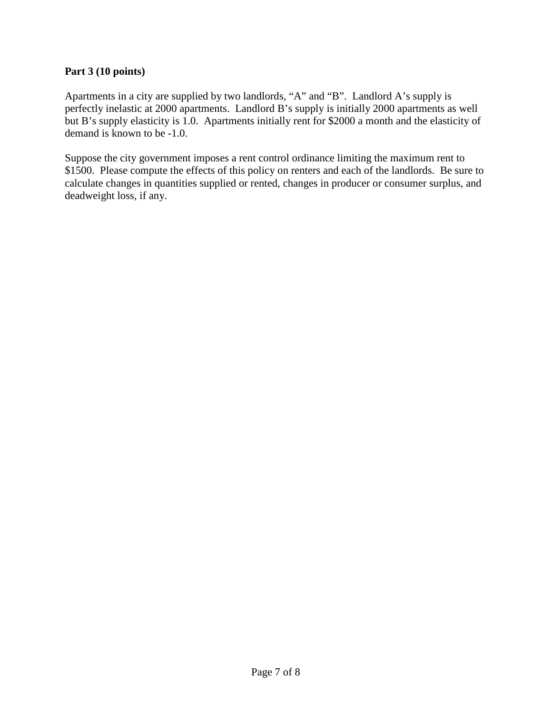# **Part 3 (10 points)**

Apartments in a city are supplied by two landlords, "A" and "B". Landlord A's supply is perfectly inelastic at 2000 apartments. Landlord B's supply is initially 2000 apartments as well but B's supply elasticity is 1.0. Apartments initially rent for \$2000 a month and the elasticity of demand is known to be -1.0.

Suppose the city government imposes a rent control ordinance limiting the maximum rent to \$1500. Please compute the effects of this policy on renters and each of the landlords. Be sure to calculate changes in quantities supplied or rented, changes in producer or consumer surplus, and deadweight loss, if any.